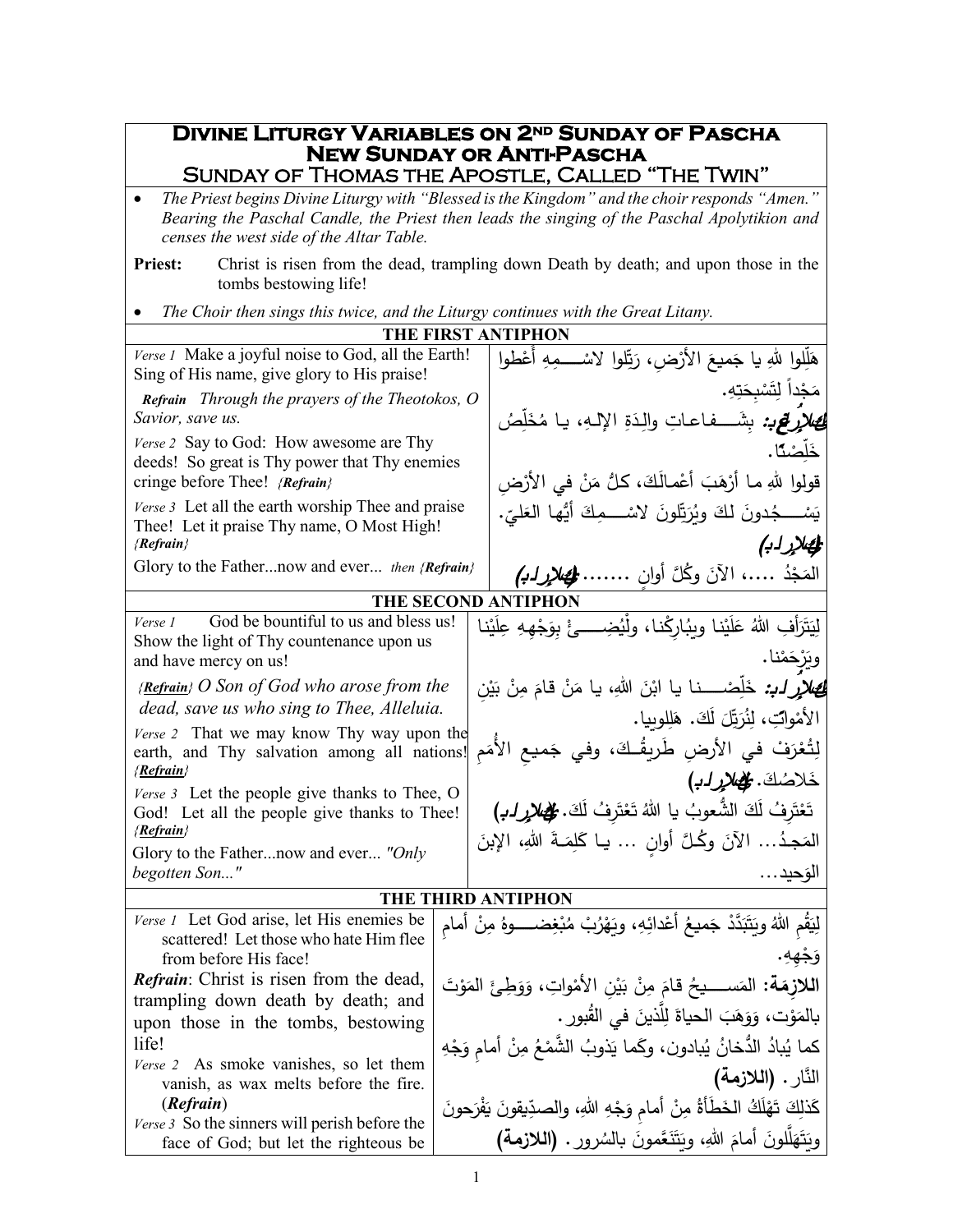## **Divine Liturgy Variables on 2<sup>nd</sup> Sunday of Pascha New Sunday or Anti-Pascha<br>New Sunday or Anti-Pascha**<br>Sunday of Thomas the Apostle, Called "The Twin"

| The Priest begins Divine Liturgy with "Blessed is the Kingdom" and the choir responds "Amen."<br>Bearing the Paschal Candle, the Priest then leads the singing of the Paschal Apolytikion and<br>censes the west side of the Altar Table. |                                                                                |                                                                                       |  |  |  |
|-------------------------------------------------------------------------------------------------------------------------------------------------------------------------------------------------------------------------------------------|--------------------------------------------------------------------------------|---------------------------------------------------------------------------------------|--|--|--|
| Christ is risen from the dead, trampling down Death by death; and upon those in the<br><b>Priest:</b><br>tombs bestowing life!                                                                                                            |                                                                                |                                                                                       |  |  |  |
| The Choir then sings this twice, and the Liturgy continues with the Great Litany.                                                                                                                                                         |                                                                                |                                                                                       |  |  |  |
|                                                                                                                                                                                                                                           |                                                                                | THE FIRST ANTIPHON                                                                    |  |  |  |
| Verse 1 Make a joyful noise to God, all the Earth!<br>Sing of His name, give glory to His praise!                                                                                                                                         |                                                                                | هَلِّلوا للهِ يا جَميعَ الأرْضِ، رَبِّلوا لاسْـــــمِهِ أَعْطوا                       |  |  |  |
| <b>Refrain</b> Through the prayers of the Theotokos, O                                                                                                                                                                                    |                                                                                | مَجْداً لِتَسْبِحَتِهِ.                                                               |  |  |  |
| Savior, save us.                                                                                                                                                                                                                          |                                                                                | <i>لِصْلاَرِ لِمَحْ:</i> بِشَـــفاعاتِ والِدَةِ الإلـهِ، يـا مُخَلِّصُ                |  |  |  |
| Verse 2 Say to God: How awesome are Thy                                                                                                                                                                                                   |                                                                                | خَلَصْنًا.                                                                            |  |  |  |
| deeds! So great is Thy power that Thy enemies                                                                                                                                                                                             |                                                                                |                                                                                       |  |  |  |
| cringe before Thee! {Refrain}                                                                                                                                                                                                             |                                                                                | قولوا للهِ مـا أَرْهَبَ أَعْمـالَكَ، كلُّ مَنْ في الأَرْضِ                            |  |  |  |
| Verse 3 Let all the earth worship Thee and praise<br>Thee! Let it praise Thy name, O Most High!                                                                                                                                           |                                                                                | يَسْــــجُدونَ لكَ ويُرَتِّلونَ لاسْــــمِكَ أَيُّها العَليِّ.                        |  |  |  |
| ${Refrain}$<br>Glory to the Fathernow and ever then {Refrain}                                                                                                                                                                             |                                                                                | المصلار لب)<br>المَجْدُ …، الآنَ وكُلَّ أوان …… <b>لِمَص<i>لاٍرِ ل</i></b> َـبَهِمْ   |  |  |  |
|                                                                                                                                                                                                                                           |                                                                                | THE SECOND ANTIPHON                                                                   |  |  |  |
| God be bountiful to us and bless us!<br>Verse 1                                                                                                                                                                                           |                                                                                | لِيَتَرَأْفِ اللهُ عَلَيْنا ويبُارِكْنا، ولْيُضِــــئْ بِوَجْهِهِ عِلَيْنا            |  |  |  |
| Show the light of Thy countenance upon us<br>and have mercy on us!                                                                                                                                                                        |                                                                                | ويَرْحَمْنا.                                                                          |  |  |  |
| { <b>Refrain</b> } O Son of God who arose from the                                                                                                                                                                                        |                                                                                | <b>لَئِصْلاَرِ لَـٰہِ:</b> خَلِّصْـــــنـا يـا ابْنَ اللهِ، يـا مَنْ قـامَ مِنْ بَيْن |  |  |  |
| dead, save us who sing to Thee, Alleluia.                                                                                                                                                                                                 |                                                                                | الأَمْوابِّ، لِنُرَتِّلَ لَكَ. هَلِلوبِيا.                                            |  |  |  |
| Verse 2 That we may know Thy way upon the                                                                                                                                                                                                 |                                                                                |                                                                                       |  |  |  |
| earth, and Thy salvation among all nations!<br>{Refrain}                                                                                                                                                                                  |                                                                                | لِتُعْرَفْ في الأرضِ طَرِيقُـكَ، وفي جَميع الأُمَم<br>خَلاصُكَ. الْهَلايرله)          |  |  |  |
| Verse 3 Let the people give thanks to Thee, O                                                                                                                                                                                             |                                                                                |                                                                                       |  |  |  |
| God! Let all the people give thanks to Thee!<br>{Refrain}                                                                                                                                                                                 |                                                                                | تَعْتَرِفُ لَكَ الشَّعوبُ يا اللهُ تَعْتَرِفُ لَكَ. مُلْحُم <i>لاٍرِ لـبُم</i>        |  |  |  |
| Glory to the Fathernow and ever "Only                                                                                                                                                                                                     |                                                                                | المَجِدُ الآنَ وكُلَّ أُوانِ  يـا كَلِمَـةَ اللهِ، الإِبنَ                            |  |  |  |
| begotten Son"                                                                                                                                                                                                                             |                                                                                | الوَحيد…                                                                              |  |  |  |
| <b>THE THIRD ANTIPHON</b>                                                                                                                                                                                                                 |                                                                                |                                                                                       |  |  |  |
| Verse 1 Let God arise, let His enemies be<br>scattered! Let those who hate Him flee                                                                                                                                                       |                                                                                | لِيَقُم اللهُ ويَتَبَدَّدْ جَميعُ أعْدائِهِ، ويَهْرُبْ مُبْغِضـــــوهُ مِنْ أمام      |  |  |  |
| from before His face!                                                                                                                                                                                                                     |                                                                                |                                                                                       |  |  |  |
| <b>Refrain:</b> Christ is risen from the dead,                                                                                                                                                                                            | ا <b>للازِمَة:</b> المَســــيحُ قامَ مِنْ بَيْنِ الأَمْواتِ، وَوَطِئَ المَوْتَ |                                                                                       |  |  |  |
| trampling down death by death; and                                                                                                                                                                                                        |                                                                                |                                                                                       |  |  |  |
| upon those in the tombs, bestowing                                                                                                                                                                                                        | بالمَوْت، وَوَهَبَ الحياةَ لِلّذينَ في القُبورِ .                              |                                                                                       |  |  |  |
| life!                                                                                                                                                                                                                                     |                                                                                | كما يُبادُ الدُّخانُ يُبادون، وكَما يَذوبُ الشَّمْعُ مِنْ أمامٍ وَجْهِ                |  |  |  |
| Verse 2 As smoke vanishes, so let them<br>vanish, as wax melts before the fire.                                                                                                                                                           |                                                                                | النّار . (اللازمة)                                                                    |  |  |  |
| (Refrain)                                                                                                                                                                                                                                 | كَذلِكَ تَهْلَكُ الخَطْأَةُ مِنْ أمامٍ وَجْهِ اللهِ، والصدِّيقونَ يَفْرَحونَ   |                                                                                       |  |  |  |
| Verse 3 So the sinners will perish before the<br>face of God; but let the righteous be                                                                                                                                                    | وِيَتَهَلَّلُونَ أَمامَ اللهِ، ويَتَنَعَّمونَ بالسُرور . (اللازمة)             |                                                                                       |  |  |  |
|                                                                                                                                                                                                                                           |                                                                                |                                                                                       |  |  |  |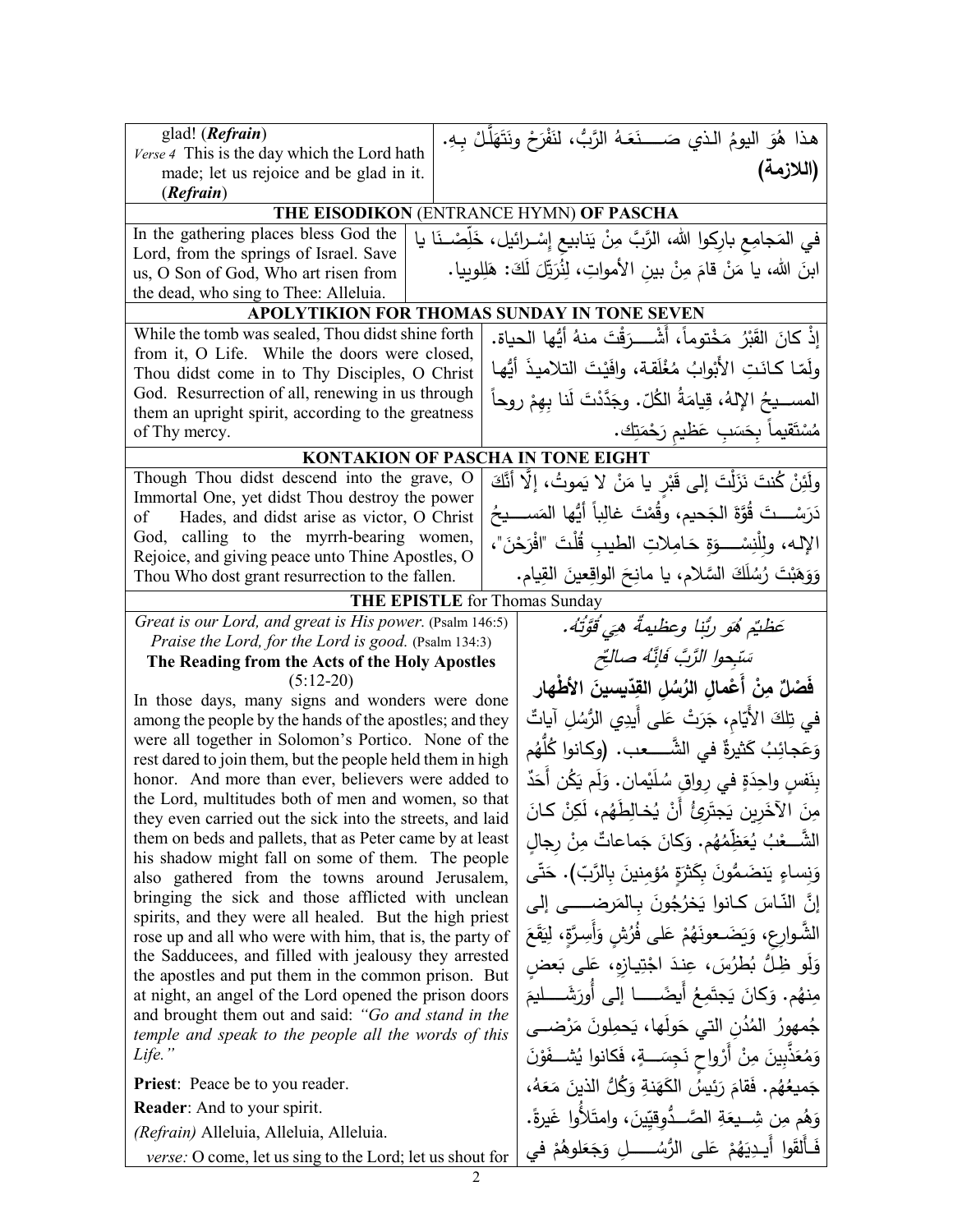| glad! ( <i>Refrain</i> )                                                                                          |                                                                                                                       | هذا هُوَ اليومُ الذي صَــــنَعَـهُ الرَّبُّ، لنَفْرَحْ ونَتَهَلَّـلْ بِـهِ.  |  |  |  |
|-------------------------------------------------------------------------------------------------------------------|-----------------------------------------------------------------------------------------------------------------------|------------------------------------------------------------------------------|--|--|--|
| Verse 4 This is the day which the Lord hath                                                                       |                                                                                                                       | (اللازمة)                                                                    |  |  |  |
| made; let us rejoice and be glad in it.<br>(Refrain)                                                              |                                                                                                                       |                                                                              |  |  |  |
|                                                                                                                   |                                                                                                                       | THE EISODIKON (ENTRANCE HYMN) OF PASCHA                                      |  |  |  |
| In the gathering places bless God the                                                                             |                                                                                                                       | في المَجامِع بارِكوا الله، الرَّبَّ مِنْ يَنابيع إِسْـرائيل، خَلِّصْــنَا يا |  |  |  |
| Lord, from the springs of Israel. Save                                                                            |                                                                                                                       |                                                                              |  |  |  |
| us, O Son of God, Who art risen from                                                                              | ابنَ الله، يا مَنْ قامَ مِنْ بينِ الأمواتِ، لِنُرَبِّلَ لَكَ: هَلِلوبِيا.                                             |                                                                              |  |  |  |
| the dead, who sing to Thee: Alleluia.<br>APOLYTIKION FOR THOMAS SUNDAY IN TONE SEVEN                              |                                                                                                                       |                                                                              |  |  |  |
| While the tomb was sealed, Thou didst shine forth                                                                 |                                                                                                                       | إِذْ كانَ القَبْرُ مَخْتوماً، أَشْــــرَقْتَ منهُ أَيُّها الحياة.            |  |  |  |
| from it, O Life. While the doors were closed,                                                                     |                                                                                                                       |                                                                              |  |  |  |
| Thou didst come in to Thy Disciples, O Christ                                                                     |                                                                                                                       | ولَمّا كـانَتِ الأَبْوابُ مُغْلَقة، وافَيْتَ التلاميذَ أَيُّها               |  |  |  |
|                                                                                                                   | God. Resurrection of all, renewing in us through<br>المســــيحُ الإِلهُ، قِيامَةُ الكُلّ . وجَدَّدْتَ لَنا بهمْ روحاً |                                                                              |  |  |  |
| them an upright spirit, according to the greatness<br>of Thy mercy.                                               |                                                                                                                       | مُسْتَقيماً بِحَسَبِ عَظيم رَحْمَتِك.                                        |  |  |  |
|                                                                                                                   |                                                                                                                       | <b>KONTAKION OF PASCHA IN TONE EIGHT</b>                                     |  |  |  |
| Though Thou didst descend into the grave, O                                                                       |                                                                                                                       | ولَئِنْ كُنتَ نَزَلْتَ إِلَى قَبْرِ يا مَنْ لا يَموتُ، إِلَّا أَنَّكَ        |  |  |  |
| Immortal One, yet didst Thou destroy the power                                                                    |                                                                                                                       |                                                                              |  |  |  |
| Hades, and didst arise as victor, O Christ<br>of                                                                  |                                                                                                                       | دَرَسْـــتَ قُوَّةَ الْجَحيمِ، وقُمْتَ غالِباً أَيُّها المَســـيحُ           |  |  |  |
|                                                                                                                   | God, calling to the myrrh-bearing women,<br>الإله، ولِلْنِسْـــوَةِ حَامِلاتِ الطيبِ قُلْتَ "افْرَحْنَ"،              |                                                                              |  |  |  |
| Rejoice, and giving peace unto Thine Apostles, O<br>Thou Who dost grant resurrection to the fallen.               |                                                                                                                       | وَوَهَبْتَ رُسُلَكَ السَّلامِ، يا مانِحَ الواقِعينَ القِيامِ.                |  |  |  |
|                                                                                                                   |                                                                                                                       | <b>THE EPISTLE</b> for Thomas Sunday                                         |  |  |  |
| Great is our Lord, and great is His power. (Psalm 146:5)                                                          |                                                                                                                       | عَظيُم هُوَ رُبِّنا وعظيمةً هيَ قُوَّتُهُ.                                   |  |  |  |
| Praise the Lord, for the Lord is good. (Psalm 134:3)                                                              |                                                                                                                       |                                                                              |  |  |  |
| The Reading from the Acts of the Holy Apostles                                                                    |                                                                                                                       | سَبْحوا الزَّبَّ فَإِنَّهُ صالحٌ                                             |  |  |  |
| $(5:12-20)$<br>In those days, many signs and wonders were done                                                    |                                                                                                                       | فْصْلٌ مِنْ أَعْمالِ الرُسُلِ القِدّيسينَ الأَطْهار                          |  |  |  |
| among the people by the hands of the apostles; and they                                                           |                                                                                                                       | في تِلكَ الأَيّام، جَرَتْ عَلى أَيدِي الرُّسُلِ آياتٌ                        |  |  |  |
| were all together in Solomon's Portico. None of the                                                               |                                                                                                                       | وَعَجائِبُ كَثيرةٌ في الشَّـــــعب. (وكـانوا كُلِّهُم                        |  |  |  |
| rest dared to join them, but the people held them in high<br>honor. And more than ever, believers were added to   |                                                                                                                       | بِنَفسِ واحِدَةٍ في رواقِ سُلَيْمانِ. وَلَم يَكُن أَحَدٌ                     |  |  |  |
| the Lord, multitudes both of men and women, so that                                                               |                                                                                                                       |                                                                              |  |  |  |
| they even carried out the sick into the streets, and laid                                                         |                                                                                                                       | مِنَ الآخَرِينِ يَجتَرِئُ أَنْ يُخالِطَهُم، لَكِنْ كانَ                      |  |  |  |
| them on beds and pallets, that as Peter came by at least<br>his shadow might fall on some of them. The people     |                                                                                                                       | الشَّــعْبُ يُعَظِّمُهُم. وَكانَ جَماعاتٌ مِنْ رِجالِ                        |  |  |  |
| also gathered from the towns around Jerusalem,                                                                    |                                                                                                                       | وَنِساءٍ يَنضَمُّونَ بِكَثْرَةٍ مُؤْمِنينَ بِالرَّبّ). حَتَّى                |  |  |  |
| bringing the sick and those afflicted with unclean                                                                |                                                                                                                       | إنَّ النَّاسَ كانوا يَخرُجُونَ بِالمَرضـــــى إلى                            |  |  |  |
| spirits, and they were all healed. But the high priest                                                            |                                                                                                                       | الشَّـوارِع، وَيَضَـعونَهُمْ عَلَى فُرُشٍ وَأَسِرَّةٍ، لِيَقَعَ              |  |  |  |
| rose up and all who were with him, that is, the party of<br>the Sadducees, and filled with jealousy they arrested |                                                                                                                       | وَلُو ظِلُّ بُطرُسَ، عِندَ اجْتِيازِه، عَلَى بَعض                            |  |  |  |
| the apostles and put them in the common prison. But                                                               |                                                                                                                       |                                                                              |  |  |  |
| at night, an angel of the Lord opened the prison doors<br>and brought them out and said: "Go and stand in the     |                                                                                                                       | مِنهُم. وَكَانَ يَجتَمِعُ أَيضَـــــا إِلَى أُورَشَــــليمَ                  |  |  |  |
| temple and speak to the people all the words of this                                                              |                                                                                                                       | جُمهورُ المُدُنِ التي حَولَها، يَحمِلونَ مَرْضـــي                           |  |  |  |
| Life."                                                                                                            |                                                                                                                       | وَمُعَذَّبِينَ مِنْ أَرْواحٍ نَجِسَـــةٍ، فَكانوا يُشـــفَوْنَ               |  |  |  |
| <b>Priest:</b> Peace be to you reader.                                                                            |                                                                                                                       | جَميعُهُم. فَقامَ رَئِيسُ الْكَهَنةِ وَكُلُّ الذينَ مَعَهُ،                  |  |  |  |
| <b>Reader:</b> And to your spirit.                                                                                |                                                                                                                       | وَهُم مِن شِـــيعَةِ الصَّـــدُوقِيّينَ، وامتَلأُوا غَيرةً.                  |  |  |  |
| (Refrain) Alleluia, Alleluia, Alleluia.                                                                           |                                                                                                                       | فَأَلقَوا أَيـدِيَهُمْ عَلـى الرُّسُــــــــلِ وَجَعَلوهُمْ في               |  |  |  |
| <i>verse:</i> O come, let us sing to the Lord; let us shout for                                                   |                                                                                                                       |                                                                              |  |  |  |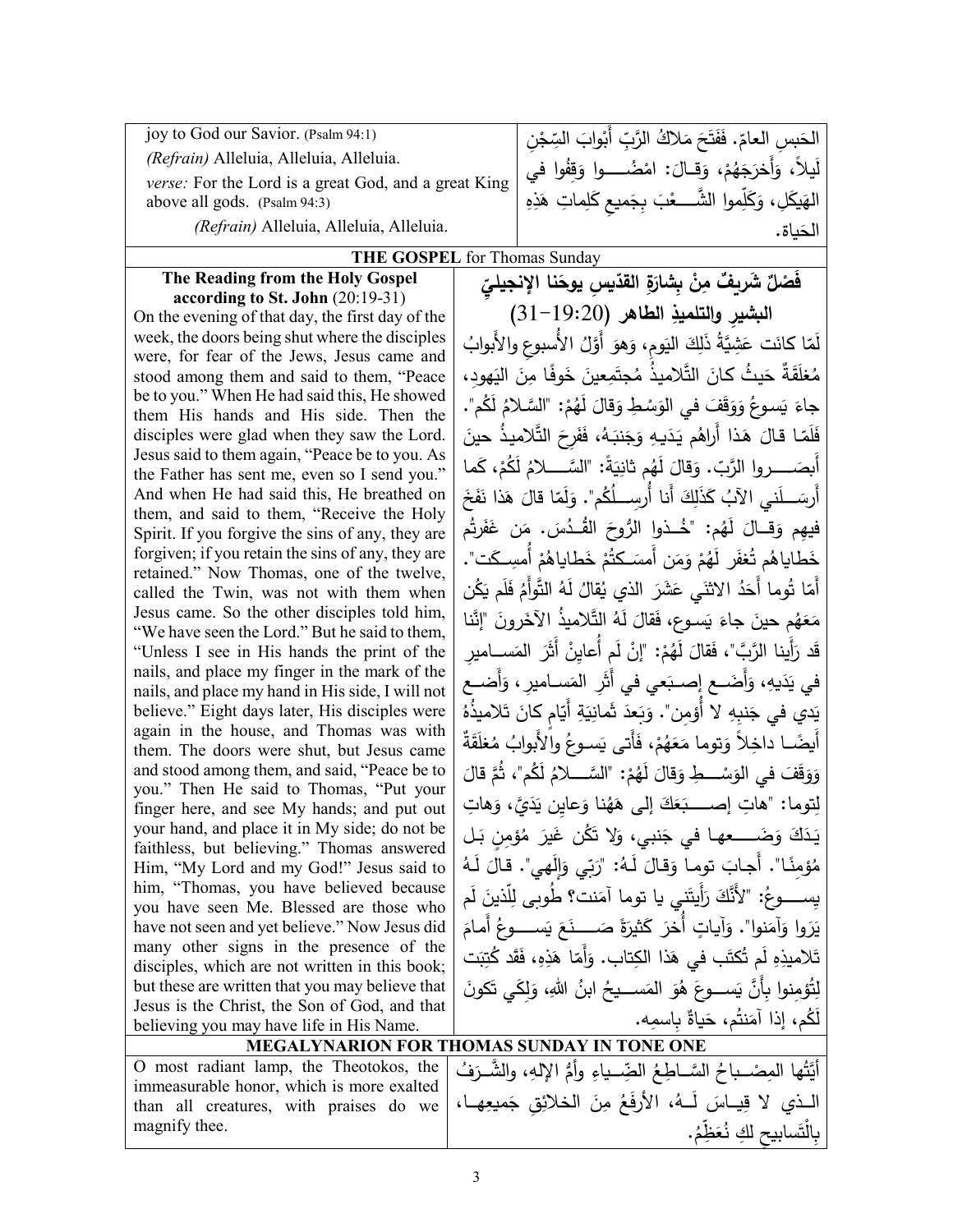| (Refrain) Alleluia, Alleluia, Alleluia.<br>verse: For the Lord is a great God, and a great King<br>above all gods. (Psalm 94:3)<br>(Refrain) Alleluia, Alleluia, Alleluia. | الحَسِرِ العامّ. فَفَتَحَ مَلاكُ الرَّبِّ أَبْوابَ السِّجْنِ  <br>لَيلاً، وَأَخرَجَهُمْ، وَقـالَ: امْضُـــــوا وَقِفُوا في<br>الهَيكَلِ، وَكَلِّموا الشَّــــعْبَ بِجَميعِ كَلِماتِ هَذِهِ  <br>الحَناة. |  |  |  |
|----------------------------------------------------------------------------------------------------------------------------------------------------------------------------|----------------------------------------------------------------------------------------------------------------------------------------------------------------------------------------------------------|--|--|--|
| <b>THE GOSPEL</b> for Thomas Sunday                                                                                                                                        |                                                                                                                                                                                                          |  |  |  |

## **The Reading from the Holy Gospel**

**according to St. John** (20:19-31) On the evening of that day, the first day of the week, the doors being shut where the disciples were, for fear of the Jews, Jesus came and stood among them and said to them, "Peace be to you." When He had said this, He showed them His hands and His side. Then the disciples were glad when they saw the Lord. Jesus said to them again, "Peace be to you. As the Father has sent me, even so I send you." And when He had said this, He breathed on them, and said to them, "Receive the Holy Spirit. If you forgive the sins of any, they are forgiven; if you retain the sins of any, they are retained." Now Thomas, one of the twelve, called the Twin, was not with them when Jesus came. So the other disciples told him, "We have seen the Lord." But he said to them, "Unless I see in His hands the print of the nails, and place my finger in the mark of the nails, and place my hand in His side, I will not believe." Eight days later, His disciples were again in the house, and Thomas was with them. The doors were shut, but Jesus came and stood among them, and said, "Peace be to you." Then He said to Thomas, "Put your finger here, and see My hands; and put out your hand, and place it in My side; do not be faithless, but believing." Thomas answered Him, "My Lord and my God!" Jesus said to him, "Thomas, you have believed because you have seen Me. Blessed are those who have not seen and yet believe." Now Jesus did many other signs in the presence of the disciples, which are not written in this book; but these are written that you may believe that Jesus is the Christ, the Son of God, and that believing you may have life in His Name.

**ٌ َ ش ْص َف ِ ل القد ِ �س َ ِ� ٌ ر�ف ْن م ِة ّ ّ یوح ِ َ شار نا الإنجیلي ِ ال�شیر والتلمیذ** (31-19:20) **ِ الطاهر** َ ِوم َ الی ِك ِشَّ� ُة َ ذل َ َت ع ّا �ان ُ ل ، َم ُ الأُ ِ سبوع والأَبواب َ أََّول َهو و ُ َّ ُ لامیـذ م َ الت َ ُ یـث �ـان َ ٌة ح َقـ َ <sup>م</sup> ِ هود، ُغل َ الی ِن ًا م َوفـ َ خ ِعین َم جت ْ جاءَ يَسوعُ وَوَقَفَ في الوَسْطِ وَقالَ لَهُمْ: "السَّلامُ لَكُم".<br>كَمَرَ مَسْرَ مِنْ يَسْرَحُونَ مِنْ الْمَسْرِ فَلَمّا قالَ هَذا أَراهُم يَدَيهِ وَجَنبَهُ، فَفَرِحَ التَّلاميذُ حينَ<br>أ أَبِصَـــــروا الرَّبّ. وَقالَ لَهُم ثانِيَةً: "السَّـــــلامُ لَكُمْ، كَما<br>أَ أَرسَـــلَني الآبُ كَذَلِكَ أَنا أُرسِـــلُكُم". وَلَمّا قالَ هَذا نَفَخَ<br>. فيهِم وَقــالَ لَهُم: "خُــذواٍ الرُّوحَ القُــدُسَ. مَن غَفَرتُم<br>مسمود أيكسك ْ خَطاياهُم تُغفَر لَهُمْ وَمَن أَمسَـكتُمْ خَطاياهُمْ أُمسِـكَت".<br>أ أَمّا تُوما أَحَدُ الاثنَي عَشَرَ الذي يُقالُ لَهُ التَّولَٰمُ فَلَم يَكُن<br>أَمّا تُوما أَحَدُ الاثنَي عَشَرَ مَعَهُم حينَ جاءَ يَسوع، فَقالَ لَهُ التَّلاميذُ الآخَرونَ "إِنَّنا<br>كَسَمَّةٍ مَسْتَدَمَّةٍ مِنْ يَجْمَعُونَ مِنْ الْمَسْتَدَمِينَ قَد رَأينا الرَّبَّ"، فَقالَ لَهُمْ: "إنْ لَمٍ أَعايِنْ أَثَرَ المَســاميرِ َ في يَدَيهِ، وَأَضَــع إِصــبَعي في أَثَرِ المَسـاميرِ ، وَأَضــعِ يَدي في جَنبِهِ لا أُؤمِن". وَبَعدَ ثَمانِيَةِ أَيّامٍ كانَ تَلاميذُهُ<br>يَامَنِ في اللّهِ عَنْهِ فِي اللّهِ عَنْهِ مِنْ أَيَّامٍ عَانَ تَلاميذُهُ ْ أَيضًــا داخِلاً وَتوما مَعَهُمْ، فَأَتى يَسـوعُ والْأَبوابُ مُغلَقَةٌ وَوَقَفَ في الوَسْــــطِ وَقالَ لَهُمْ: "السَّــــلامُ لَكُم"، ثُمَّ قالَ َ لِتوما: "هاتِ إصـــــبَعَكَ إلى هَهُنا وَعايِن يَدَيَّ، وَهاتِ<br>. يَدَكَ وَضَــــعهـا في جَنبي، وَلا تَكُن غَيرَ مُؤمِنٍ بَـلٍ مُؤمِنًا". أُجابَ توما وَقالَ لَـهُ: "رَبّي وَإِلَهي". قالَ لَـهُ<br>\* يِســـــوعُ: "لأَنَّكَ رَأَيتَنبِي يا توما آمَنت؟ طُوبي لِلَّذينَ لَم يَرَوا وَآمَنوا". وَآياتٍ أُخرَ كَثيرَةً صَـــــنَعَ يَســــوعُ أَمامَ<br>. تَلاميذِهِ لَم تُكتَب في هَذا الكِتاب. وَأَمّا هَذِهِ، فَقَد كُتِبَت<br>. لِتُؤمِنوا بِأَنَّ يَســـوعَ هُوَ المَســـيحُ ابنُ اللهِ، وَلِكَي تَكونَ<br>َ لَكُم، إذا آمَنتُم، حَياةٌ بِاسمِه.<br>حدود حدد

|                                                              | <b>MEGALYNARION FOR THOMAS SUNDAY IN TONE ONE</b>                                                                                                                                                                                                       |
|--------------------------------------------------------------|---------------------------------------------------------------------------------------------------------------------------------------------------------------------------------------------------------------------------------------------------------|
| immeasurable honor, which is more exalted  <br>magnify thee. | 0 most radiant lamp, the Theotokos, the   (إِلَمِهِ، والشَّـرَفُ الصَّـرَوْنُ [ Theotokos, the ] .<br>المَّذِي لا قِياسَ لَــهُ، الأَرْفَعُ مِنَ الْخِلاَئِقِ جَمْيُعِهِــا،   than all creatures, with praises do we<br>بِالْتَسابِيحِ لَكِ نُعَظِّمُ. |
|                                                              |                                                                                                                                                                                                                                                         |